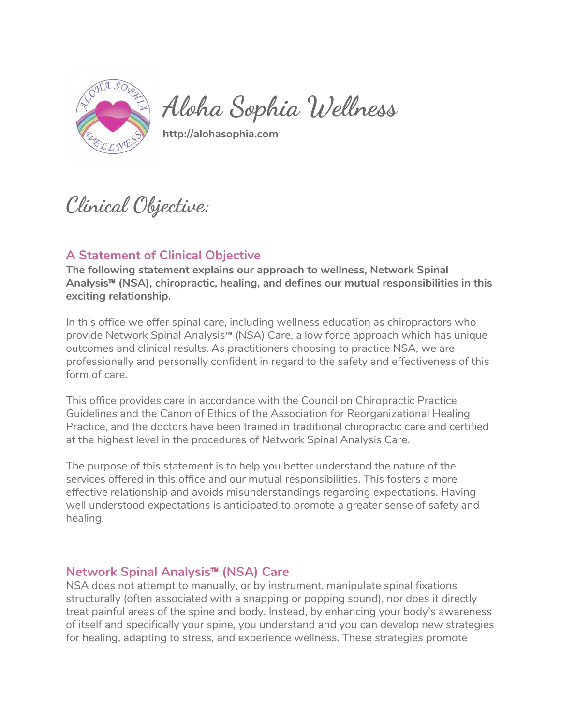

**Aloha Sophia Wellness** 

**http://alohasophia.com** 

**Clinical Objective:** 

## **A Statement of Clinical Objective**

**The following statement explains our approach to wellness, Network Spinal Analysis**™ **(NSA), chiropractic, healing, and defines our mutual responsibilities in this exciting relationship.**

In this office we offer spinal care, including wellness education as chiropractors who provide Network Spinal Analysis™ (NSA) Care, a low force approach which has unique outcomes and clinical results. As practitioners choosing to practice NSA, we are professionally and personally confident in regard to the safety and effectiveness of this form of care.

This office provides care in accordance with the Council on Chiropractic Practice Guidelines and the Canon of Ethics of the Association for Reorganizational Healing Practice, and the doctors have been trained in traditional chiropractic care and certified at the highest level in the procedures of Network Spinal Analysis Care.

The purpose of this statement is to help you better understand the nature of the services offered in this office and our mutual responsibilities. This fosters a more effective relationship and avoids misunderstandings regarding expectations. Having well understood expectations is anticipated to promote a greater sense of safety and healing.

## **Network Spinal Analysis**™ **(NSA) Care**

NSA does not attempt to manually, or by instrument, manipulate spinal fixations structurally (often associated with a snapping or popping sound), nor does it directly treat painful areas of the spine and body. Instead, by enhancing your body's awareness of itself and specifically your spine, you understand and you can develop new strategies for healing, adapting to stress, and experience wellness. These strategies promote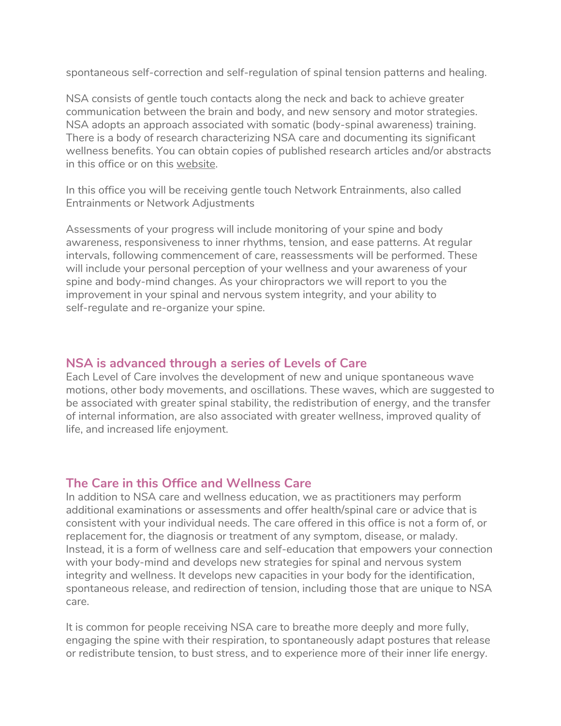spontaneous self-correction and self-regulation of spinal tension patterns and healing.

NSA consists of gentle touch contacts along the neck and back to achieve greater communication between the brain and body, and new sensory and motor strategies. NSA adopts an approach associated with somatic (body-spinal awareness) training. There is a body of research characterizing NSA care and documenting its significant wellness benefits. You can obtain copies of published research articles and/or abstracts in this office or on this [website.](http://alohasophia.com/articles.html)

In this office you will be receiving gentle touch Network Entrainments, also called Entrainments or Network Adjustments

Assessments of your progress will include monitoring of your spine and body awareness, responsiveness to inner rhythms, tension, and ease patterns. At regular intervals, following commencement of care, reassessments will be performed. These will include your personal perception of your wellness and your awareness of your spine and body-mind changes. As your chiropractors we will report to you the improvement in your spinal and nervous system integrity, and your ability to self-regulate and re-organize your spine.

## **NSA is advanced through a series of Levels of Care**

Each Level of Care involves the development of new and unique spontaneous wave motions, other body movements, and oscillations. These waves, which are suggested to be associated with greater spinal stability, the redistribution of energy, and the transfer of internal information, are also associated with greater wellness, improved quality of life, and increased life enjoyment.

## **The Care in this Office and Wellness Care**

In addition to NSA care and wellness education, we as practitioners may perform additional examinations or assessments and offer health/spinal care or advice that is consistent with your individual needs. The care offered in this office is not a form of, or replacement for, the diagnosis or treatment of any symptom, disease, or malady. Instead, it is a form of wellness care and self-education that empowers your connection with your body-mind and develops new strategies for spinal and nervous system integrity and wellness. It develops new capacities in your body for the identification, spontaneous release, and redirection of tension, including those that are unique to NSA care.

It is common for people receiving NSA care to breathe more deeply and more fully, engaging the spine with their respiration, to spontaneously adapt postures that release or redistribute tension, to bust stress, and to experience more of their inner life energy.